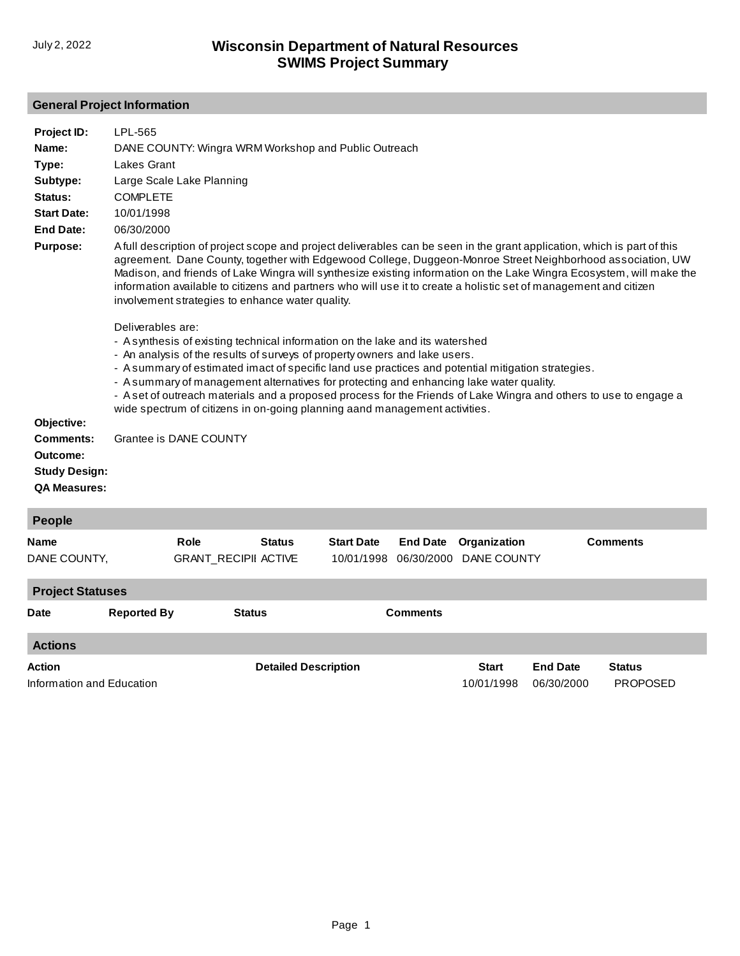## **General Project Information**

| Project ID:<br>Name:<br>Type:<br>Subtype:<br>Status:<br><b>Start Date:</b><br><b>End Date:</b><br><b>Purpose:</b><br>Objective:<br>Comments:<br>Outcome:<br><b>Study Design:</b><br><b>QA Measures:</b> | LPL-565<br>DANE COUNTY: Wingra WRM Workshop and Public Outreach<br>Lakes Grant<br>Large Scale Lake Planning<br><b>COMPLETE</b><br>10/01/1998<br>06/30/2000<br>A full description of project scope and project deliverables can be seen in the grant application, which is part of this<br>agreement. Dane County, together with Edgewood College, Duggeon-Monroe Street Neighborhood association, UW<br>Madison, and friends of Lake Wingra will synthesize existing information on the Lake Wingra Ecosystem, will make the<br>information available to citizens and partners who will use it to create a holistic set of management and citizen<br>involvement strategies to enhance water quality.<br>Deliverables are:<br>- Asynthesis of existing technical information on the lake and its watershed<br>- An analysis of the results of surveys of property owners and lake users.<br>- A summary of estimated imact of specific land use practices and potential mitigation strategies.<br>- A summary of management alternatives for protecting and enhancing lake water quality.<br>- A set of outreach materials and a proposed process for the Friends of Lake Wingra and others to use to engage a<br>wide spectrum of citizens in on-going planning aand management activities.<br>Grantee is DANE COUNTY |                                     |                             |                                 |                               |                             |                               |                                  |  |
|---------------------------------------------------------------------------------------------------------------------------------------------------------------------------------------------------------|------------------------------------------------------------------------------------------------------------------------------------------------------------------------------------------------------------------------------------------------------------------------------------------------------------------------------------------------------------------------------------------------------------------------------------------------------------------------------------------------------------------------------------------------------------------------------------------------------------------------------------------------------------------------------------------------------------------------------------------------------------------------------------------------------------------------------------------------------------------------------------------------------------------------------------------------------------------------------------------------------------------------------------------------------------------------------------------------------------------------------------------------------------------------------------------------------------------------------------------------------------------------------------------------------------------------|-------------------------------------|-----------------------------|---------------------------------|-------------------------------|-----------------------------|-------------------------------|----------------------------------|--|
| People                                                                                                                                                                                                  |                                                                                                                                                                                                                                                                                                                                                                                                                                                                                                                                                                                                                                                                                                                                                                                                                                                                                                                                                                                                                                                                                                                                                                                                                                                                                                                        |                                     |                             |                                 |                               |                             |                               |                                  |  |
| Name<br>DANE COUNTY,                                                                                                                                                                                    |                                                                                                                                                                                                                                                                                                                                                                                                                                                                                                                                                                                                                                                                                                                                                                                                                                                                                                                                                                                                                                                                                                                                                                                                                                                                                                                        | Role<br><b>GRANT_RECIPII ACTIVE</b> | <b>Status</b>               | <b>Start Date</b><br>10/01/1998 | <b>End Date</b><br>06/30/2000 | Organization<br>DANE COUNTY |                               | <b>Comments</b>                  |  |
| <b>Project Statuses</b>                                                                                                                                                                                 |                                                                                                                                                                                                                                                                                                                                                                                                                                                                                                                                                                                                                                                                                                                                                                                                                                                                                                                                                                                                                                                                                                                                                                                                                                                                                                                        |                                     |                             |                                 |                               |                             |                               |                                  |  |
| <b>Date</b>                                                                                                                                                                                             | <b>Reported By</b>                                                                                                                                                                                                                                                                                                                                                                                                                                                                                                                                                                                                                                                                                                                                                                                                                                                                                                                                                                                                                                                                                                                                                                                                                                                                                                     |                                     | <b>Status</b>               |                                 | <b>Comments</b>               |                             |                               |                                  |  |
| <b>Actions</b>                                                                                                                                                                                          |                                                                                                                                                                                                                                                                                                                                                                                                                                                                                                                                                                                                                                                                                                                                                                                                                                                                                                                                                                                                                                                                                                                                                                                                                                                                                                                        |                                     |                             |                                 |                               |                             |                               |                                  |  |
| Action<br>Information and Education                                                                                                                                                                     |                                                                                                                                                                                                                                                                                                                                                                                                                                                                                                                                                                                                                                                                                                                                                                                                                                                                                                                                                                                                                                                                                                                                                                                                                                                                                                                        |                                     | <b>Detailed Description</b> |                                 |                               | <b>Start</b><br>10/01/1998  | <b>End Date</b><br>06/30/2000 | <b>Status</b><br><b>PROPOSED</b> |  |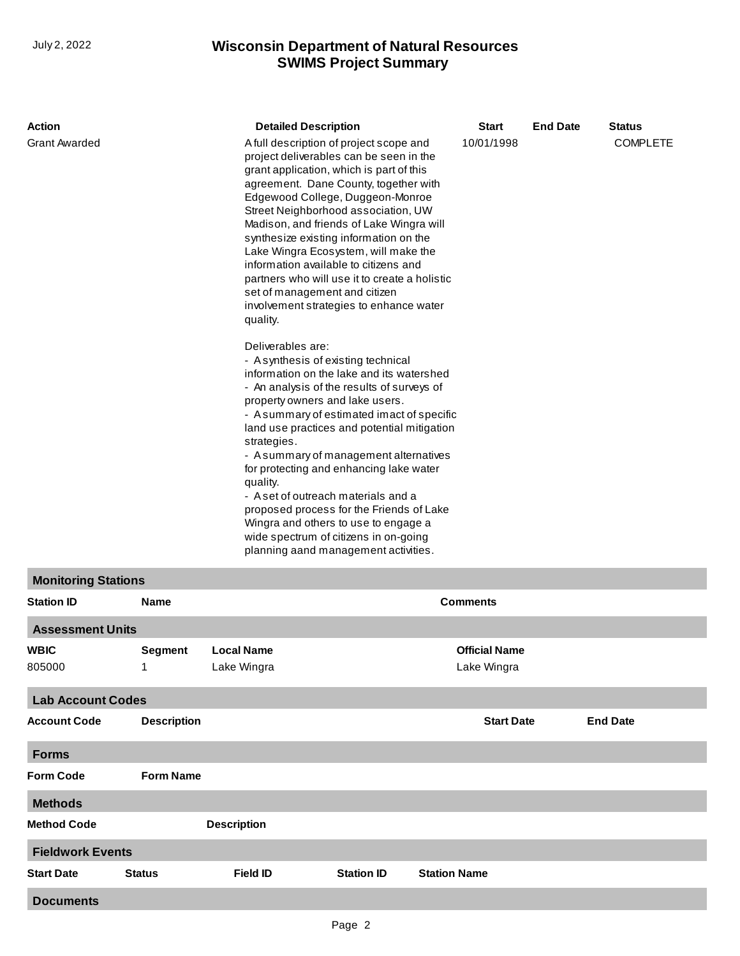## **SWIMS Project Summary** July 2, 2022 **Wisconsin Department of Natural Resources**

| Action                                 | <b>Detailed Description</b>                                                                                                                                                                                                                                                                                                                                                                                                                                                                                                                                                                                                                                                                                                                                                                                                                                                                                                                                                                                                                                                                                                                                                          | <b>Start</b> | <b>End Date</b> | <b>Status</b>   |
|----------------------------------------|--------------------------------------------------------------------------------------------------------------------------------------------------------------------------------------------------------------------------------------------------------------------------------------------------------------------------------------------------------------------------------------------------------------------------------------------------------------------------------------------------------------------------------------------------------------------------------------------------------------------------------------------------------------------------------------------------------------------------------------------------------------------------------------------------------------------------------------------------------------------------------------------------------------------------------------------------------------------------------------------------------------------------------------------------------------------------------------------------------------------------------------------------------------------------------------|--------------|-----------------|-----------------|
| <b>Grant Awarded</b>                   | A full description of project scope and<br>project deliverables can be seen in the<br>grant application, which is part of this<br>agreement. Dane County, together with<br>Edgewood College, Duggeon-Monroe<br>Street Neighborhood association, UW<br>Madison, and friends of Lake Wingra will<br>synthesize existing information on the<br>Lake Wingra Ecosystem, will make the<br>information available to citizens and<br>partners who will use it to create a holistic<br>set of management and citizen<br>involvement strategies to enhance water<br>quality.<br>Deliverables are:<br>- Asynthesis of existing technical<br>information on the lake and its watershed<br>- An analysis of the results of surveys of<br>property owners and lake users.<br>- A summary of estimated imact of specific<br>land use practices and potential mitigation<br>strategies.<br>- A summary of management alternatives<br>for protecting and enhancing lake water<br>quality.<br>- A set of outreach materials and a<br>proposed process for the Friends of Lake<br>Wingra and others to use to engage a<br>wide spectrum of citizens in on-going<br>planning aand management activities. | 10/01/1998   |                 | <b>COMPLETE</b> |
| $\mathbf{r}$ . The set of $\mathbf{r}$ |                                                                                                                                                                                                                                                                                                                                                                                                                                                                                                                                                                                                                                                                                                                                                                                                                                                                                                                                                                                                                                                                                                                                                                                      |              |                 |                 |

## **Monitoring Stations**

| <b>Station ID</b>        | <b>Name</b>        |                    |                   | <b>Comments</b>      |                 |  |  |
|--------------------------|--------------------|--------------------|-------------------|----------------------|-----------------|--|--|
| <b>Assessment Units</b>  |                    |                    |                   |                      |                 |  |  |
| <b>WBIC</b>              | <b>Segment</b>     | <b>Local Name</b>  |                   | <b>Official Name</b> |                 |  |  |
| 805000                   | $\mathbf{1}$       | Lake Wingra        |                   | Lake Wingra          |                 |  |  |
| <b>Lab Account Codes</b> |                    |                    |                   |                      |                 |  |  |
| <b>Account Code</b>      | <b>Description</b> |                    |                   | <b>Start Date</b>    | <b>End Date</b> |  |  |
| <b>Forms</b>             |                    |                    |                   |                      |                 |  |  |
| <b>Form Code</b>         |                    | <b>Form Name</b>   |                   |                      |                 |  |  |
| <b>Methods</b>           |                    |                    |                   |                      |                 |  |  |
| <b>Method Code</b>       |                    | <b>Description</b> |                   |                      |                 |  |  |
| <b>Fieldwork Events</b>  |                    |                    |                   |                      |                 |  |  |
| <b>Start Date</b>        | <b>Status</b>      | <b>Field ID</b>    | <b>Station ID</b> | <b>Station Name</b>  |                 |  |  |
| <b>Documents</b>         |                    |                    |                   |                      |                 |  |  |